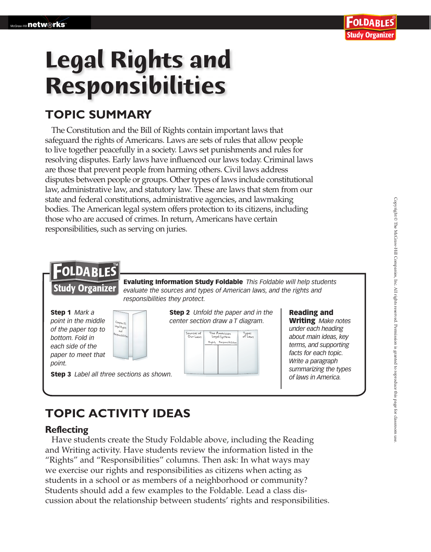# **Legal Rights and Responsibilities**

### **TOPIC SUMMARY**

The Constitution and the Bill of Rights contain important laws that safeguard the rights of Americans. Laws are sets of rules that allow people to live together peacefully in a society. Laws set punishments and rules for resolving disputes. Early laws have influenced our laws today. Criminal laws are those that prevent people from harming others. Civil laws address disputes between people or groups. Other types of laws include constitutional law, administrative law, and statutory law. These are laws that stem from our state and federal constitutions, administrative agencies, and lawmaking bodies. The American legal system offers protection to its citizens, including those who are accused of crimes. In return, Americans have certain responsibilities, such as serving on juries.



## **TOPIC ACTIVITY IDEAS**

#### **Reflecting**

 Have students create the Study Foldable above, including the Reading and Writing activity. Have students review the information listed in the "Rights" and "Responsibilities" columns. Then ask: In what ways may we exercise our rights and responsibilities as citizens when acting as students in a school or as members of a neighborhood or community? Students should add a few examples to the Foldable. Lead a class discussion about the relationship between students' rights and responsibilities.